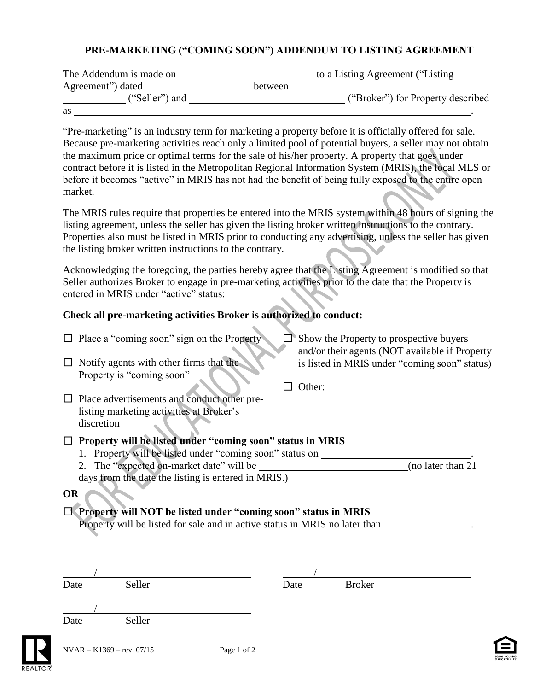## **PRE-MARKETING ("COMING SOON") ADDENDUM TO LISTING AGREEMENT**

| The Addendum is made on |         | to a Listing Agreement ("Listing" |
|-------------------------|---------|-----------------------------------|
| Agreement") dated       | between |                                   |
| ("Seller") and          |         | ("Broker") for Property described |
| as                      |         |                                   |

"Pre-marketing" is an industry term for marketing a property before it is officially offered for sale. Because pre-marketing activities reach only a limited pool of potential buyers, a seller may not obtain the maximum price or optimal terms for the sale of his/her property. A property that goes under contract before it is listed in the Metropolitan Regional Information System (MRIS), the local MLS or before it becomes "active" in MRIS has not had the benefit of being fully exposed to the entire open market.

The MRIS rules require that properties be entered into the MRIS system within 48 hours of signing the listing agreement, unless the seller has given the listing broker written instructions to the contrary. Properties also must be listed in MRIS prior to conducting any advertising, unless the seller has given the listing broker written instructions to the contrary.

Acknowledging the foregoing, the parties hereby agree that the Listing Agreement is modified so that Seller authorizes Broker to engage in pre-marketing activities prior to the date that the Property is entered in MRIS under "active" status:

## **Check all pre-marketing activities Broker is authorized to conduct:**

| and/or their agents (NOT available if Property<br>is listed in MRIS under "coming soon" status) |
|-------------------------------------------------------------------------------------------------|
|                                                                                                 |
|                                                                                                 |
|                                                                                                 |
|                                                                                                 |
|                                                                                                 |
|                                                                                                 |
|                                                                                                 |
| (no later than 21)                                                                              |
|                                                                                                 |
|                                                                                                 |
|                                                                                                 |
|                                                                                                 |
|                                                                                                 |
|                                                                                                 |
|                                                                                                 |
|                                                                                                 |
|                                                                                                 |
|                                                                                                 |
|                                                                                                 |
|                                                                                                 |
|                                                                                                 |
|                                                                                                 |
|                                                                                                 |
|                                                                                                 |
|                                                                                                 |